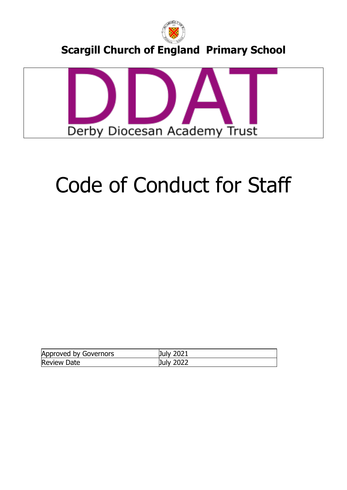



# Code of Conduct for Staff

| <b>Approved by Governors</b> | <b>July 2021</b> |
|------------------------------|------------------|
| <b>Review Date</b>           | <b>July 2022</b> |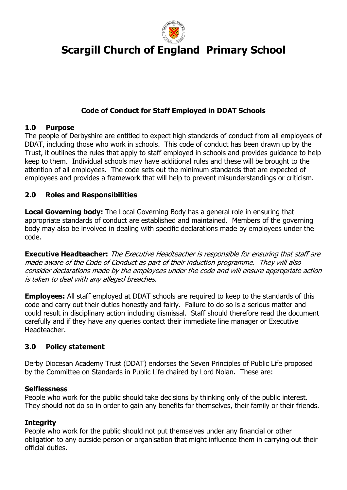

# **Code of Conduct for Staff Employed in DDAT Schools**

# **1.0 Purpose**

The people of Derbyshire are entitled to expect high standards of conduct from all employees of DDAT, including those who work in schools. This code of conduct has been drawn up by the Trust, it outlines the rules that apply to staff employed in schools and provides guidance to help keep to them. Individual schools may have additional rules and these will be brought to the attention of all employees. The code sets out the minimum standards that are expected of employees and provides a framework that will help to prevent misunderstandings or criticism.

# **2.0 Roles and Responsibilities**

**Local Governing body:** The Local Governing Body has a general role in ensuring that appropriate standards of conduct are established and maintained. Members of the governing body may also be involved in dealing with specific declarations made by employees under the code.

**Executive Headteacher:** The Executive Headteacher is responsible for ensuring that staff are made aware of the Code of Conduct as part of their induction programme. They will also consider declarations made by the employees under the code and will ensure appropriate action is taken to deal with any alleged breaches.

**Employees:** All staff employed at DDAT schools are required to keep to the standards of this code and carry out their duties honestly and fairly. Failure to do so is a serious matter and could result in disciplinary action including dismissal. Staff should therefore read the document carefully and if they have any queries contact their immediate line manager or Executive Headteacher.

# **3.0 Policy statement**

Derby Diocesan Academy Trust (DDAT) endorses the Seven Principles of Public Life proposed by the Committee on Standards in Public Life chaired by Lord Nolan. These are:

# **Selflessness**

People who work for the public should take decisions by thinking only of the public interest. They should not do so in order to gain any benefits for themselves, their family or their friends.

# **Integrity**

People who work for the public should not put themselves under any financial or other obligation to any outside person or organisation that might influence them in carrying out their official duties.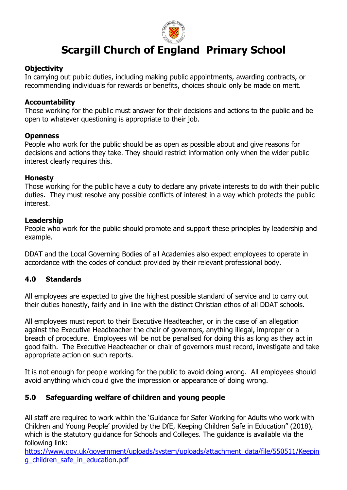

### **Objectivity**

In carrying out public duties, including making public appointments, awarding contracts, or recommending individuals for rewards or benefits, choices should only be made on merit.

#### **Accountability**

Those working for the public must answer for their decisions and actions to the public and be open to whatever questioning is appropriate to their job.

#### **Openness**

People who work for the public should be as open as possible about and give reasons for decisions and actions they take. They should restrict information only when the wider public interest clearly requires this.

#### **Honesty**

Those working for the public have a duty to declare any private interests to do with their public duties. They must resolve any possible conflicts of interest in a way which protects the public interest.

#### **Leadership**

People who work for the public should promote and support these principles by leadership and example.

DDAT and the Local Governing Bodies of all Academies also expect employees to operate in accordance with the codes of conduct provided by their relevant professional body.

# **4.0 Standards**

All employees are expected to give the highest possible standard of service and to carry out their duties honestly, fairly and in line with the distinct Christian ethos of all DDAT schools.

All employees must report to their Executive Headteacher, or in the case of an allegation against the Executive Headteacher the chair of governors, anything illegal, improper or a breach of procedure. Employees will be not be penalised for doing this as long as they act in good faith. The Executive Headteacher or chair of governors must record, investigate and take appropriate action on such reports.

It is not enough for people working for the public to avoid doing wrong. All employees should avoid anything which could give the impression or appearance of doing wrong.

# **5.0 Safeguarding welfare of children and young people**

All staff are required to work within the 'Guidance for Safer Working for Adults who work with Children and Young People' provided by the DfE, Keeping Children Safe in Education" (2018), which is the statutory guidance for Schools and Colleges. The guidance is available via the following link:

[https://www.gov.uk/government/uploads/system/uploads/attachment\\_data/file/550511/Keepin](https://www.gov.uk/government/uploads/system/uploads/attachment_data/file/550511/Keeping_children_safe_in_education.pdf) [g\\_children\\_safe\\_in\\_education.pdf](https://www.gov.uk/government/uploads/system/uploads/attachment_data/file/550511/Keeping_children_safe_in_education.pdf)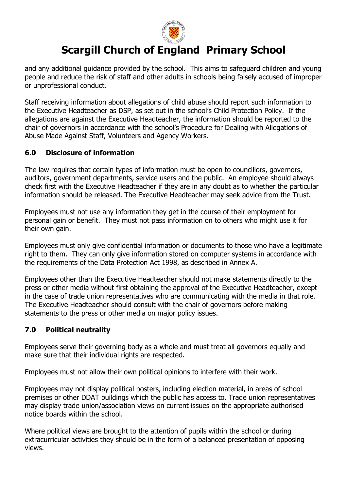

and any additional guidance provided by the school. This aims to safeguard children and young people and reduce the risk of staff and other adults in schools being falsely accused of improper or unprofessional conduct.

Staff receiving information about allegations of child abuse should report such information to the Executive Headteacher as DSP, as set out in the school's Child Protection Policy. If the allegations are against the Executive Headteacher, the information should be reported to the chair of governors in accordance with the school's Procedure for Dealing with Allegations of Abuse Made Against Staff, Volunteers and Agency Workers.

# **6.0 Disclosure of information**

The law requires that certain types of information must be open to councillors, governors, auditors, government departments, service users and the public. An employee should always check first with the Executive Headteacher if they are in any doubt as to whether the particular information should be released. The Executive Headteacher may seek advice from the Trust.

Employees must not use any information they get in the course of their employment for personal gain or benefit. They must not pass information on to others who might use it for their own gain.

Employees must only give confidential information or documents to those who have a legitimate right to them. They can only give information stored on computer systems in accordance with the requirements of the Data Protection Act 1998, as described in Annex A.

Employees other than the Executive Headteacher should not make statements directly to the press or other media without first obtaining the approval of the Executive Headteacher, except in the case of trade union representatives who are communicating with the media in that role. The Executive Headteacher should consult with the chair of governors before making statements to the press or other media on major policy issues.

# **7.0 Political neutrality**

Employees serve their governing body as a whole and must treat all governors equally and make sure that their individual rights are respected.

Employees must not allow their own political opinions to interfere with their work.

Employees may not display political posters, including election material, in areas of school premises or other DDAT buildings which the public has access to. Trade union representatives may display trade union/association views on current issues on the appropriate authorised notice boards within the school.

Where political views are brought to the attention of pupils within the school or during extracurricular activities they should be in the form of a balanced presentation of opposing views.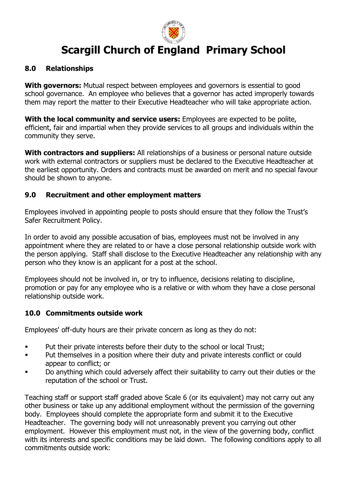

#### **8.0 Relationships**

**With governors:** Mutual respect between employees and governors is essential to good school governance. An employee who believes that a governor has acted improperly towards them may report the matter to their Executive Headteacher who will take appropriate action.

**With the local community and service users:** Employees are expected to be polite, efficient, fair and impartial when they provide services to all groups and individuals within the community they serve.

**With contractors and suppliers:** All relationships of a business or personal nature outside work with external contractors or suppliers must be declared to the Executive Headteacher at the earliest opportunity. Orders and contracts must be awarded on merit and no special favour should be shown to anyone.

#### **9.0 Recruitment and other employment matters**

Employees involved in appointing people to posts should ensure that they follow the Trust's Safer Recruitment Policy.

In order to avoid any possible accusation of bias, employees must not be involved in any appointment where they are related to or have a close personal relationship outside work with the person applying. Staff shall disclose to the Executive Headteacher any relationship with any person who they know is an applicant for a post at the school.

Employees should not be involved in, or try to influence, decisions relating to discipline, promotion or pay for any employee who is a relative or with whom they have a close personal relationship outside work.

# **10.0 Commitments outside work**

Employees' off-duty hours are their private concern as long as they do not:

- **•** Put their private interests before their duty to the school or local Trust;
- Put themselves in a position where their duty and private interests conflict or could appear to conflict; or
- Do anything which could adversely affect their suitability to carry out their duties or the reputation of the school or Trust.

Teaching staff or support staff graded above Scale 6 (or its equivalent) may not carry out any other business or take up any additional employment without the permission of the governing body. Employees should complete the appropriate form and submit it to the Executive Headteacher. The governing body will not unreasonably prevent you carrying out other employment. However this employment must not, in the view of the governing body, conflict with its interests and specific conditions may be laid down. The following conditions apply to all commitments outside work: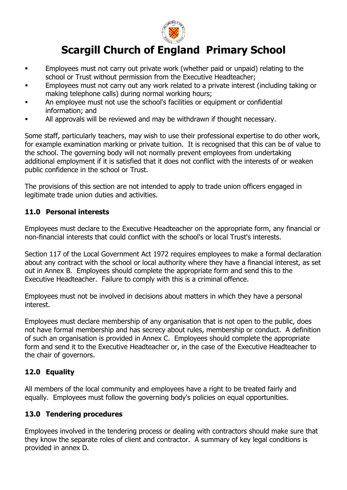

- **Employees must not carry out private work (whether paid or unpaid) relating to the** school or Trust without permission from the Executive Headteacher;
- Employees must not carry out any work related to a private interest (including taking or making telephone calls) during normal working hours;
- An employee must not use the school's facilities or equipment or confidential information; and
- All approvals will be reviewed and may be withdrawn if thought necessary.

Some staff, particularly teachers, may wish to use their professional expertise to do other work, for example examination marking or private tuition. It is recognised that this can be of value to the school. The governing body will not normally prevent employees from undertaking additional employment if it is satisfied that it does not conflict with the interests of or weaken public confidence in the school or Trust.

The provisions of this section are not intended to apply to trade union officers engaged in legitimate trade union duties and activities.

# **11.0 Personal interests**

Employees must declare to the Executive Headteacher on the appropriate form, any financial or non-financial interests that could conflict with the school's or local Trust's interests.

Section 117 of the Local Government Act 1972 requires employees to make a formal declaration about any contract with the school or local authority where they have a financial interest, as set out in Annex B. Employees should complete the appropriate form and send this to the Executive Headteacher. Failure to comply with this is a criminal offence.

Employees must not be involved in decisions about matters in which they have a personal interest.

Employees must declare membership of any organisation that is not open to the public, does not have formal membership and has secrecy about rules, membership or conduct. A definition of such an organisation is provided in Annex C. Employees should complete the appropriate form and send it to the Executive Headteacher or, in the case of the Executive Headteacher to the chair of governors.

# **12.0 Equality**

All members of the local community and employees have a right to be treated fairly and equally. Employees must follow the governing body's policies on equal opportunities.

# **13.0 Tendering procedures**

Employees involved in the tendering process or dealing with contractors should make sure that they know the separate roles of client and contractor. A summary of key legal conditions is provided in annex D.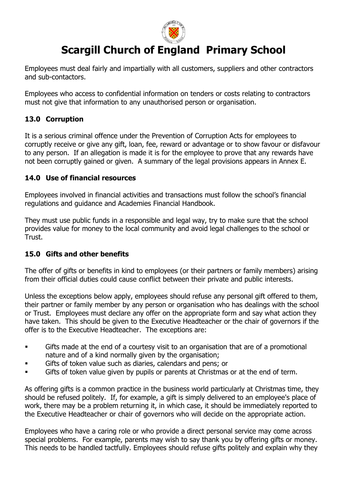

Employees must deal fairly and impartially with all customers, suppliers and other contractors and sub-contactors.

Employees who access to confidential information on tenders or costs relating to contractors must not give that information to any unauthorised person or organisation.

# **13.0 Corruption**

It is a serious criminal offence under the Prevention of Corruption Acts for employees to corruptly receive or give any gift, loan, fee, reward or advantage or to show favour or disfavour to any person. If an allegation is made it is for the employee to prove that any rewards have not been corruptly gained or given. A summary of the legal provisions appears in Annex E.

#### **14.0 Use of financial resources**

Employees involved in financial activities and transactions must follow the school's financial regulations and guidance and Academies Financial Handbook.

They must use public funds in a responsible and legal way, try to make sure that the school provides value for money to the local community and avoid legal challenges to the school or Trust.

# **15.0 Gifts and other benefits**

The offer of gifts or benefits in kind to employees (or their partners or family members) arising from their official duties could cause conflict between their private and public interests.

Unless the exceptions below apply, employees should refuse any personal gift offered to them, their partner or family member by any person or organisation who has dealings with the school or Trust. Employees must declare any offer on the appropriate form and say what action they have taken. This should be given to the Executive Headteacher or the chair of governors if the offer is to the Executive Headteacher. The exceptions are:

- Gifts made at the end of a courtesy visit to an organisation that are of a promotional nature and of a kind normally given by the organisation;
- Gifts of token value such as diaries, calendars and pens; or
- Gifts of token value given by pupils or parents at Christmas or at the end of term.

As offering gifts is a common practice in the business world particularly at Christmas time, they should be refused politely. If, for example, a gift is simply delivered to an employee's place of work, there may be a problem returning it, in which case, it should be immediately reported to the Executive Headteacher or chair of governors who will decide on the appropriate action.

Employees who have a caring role or who provide a direct personal service may come across special problems. For example, parents may wish to say thank you by offering gifts or money. This needs to be handled tactfully. Employees should refuse gifts politely and explain why they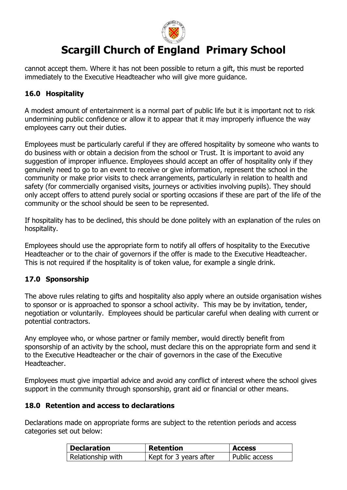

cannot accept them. Where it has not been possible to return a gift, this must be reported immediately to the Executive Headteacher who will give more guidance.

# **16.0 Hospitality**

A modest amount of entertainment is a normal part of public life but it is important not to risk undermining public confidence or allow it to appear that it may improperly influence the way employees carry out their duties.

Employees must be particularly careful if they are offered hospitality by someone who wants to do business with or obtain a decision from the school or Trust. It is important to avoid any suggestion of improper influence. Employees should accept an offer of hospitality only if they genuinely need to go to an event to receive or give information, represent the school in the community or make prior visits to check arrangements, particularly in relation to health and safety (for commercially organised visits, journeys or activities involving pupils). They should only accept offers to attend purely social or sporting occasions if these are part of the life of the community or the school should be seen to be represented.

If hospitality has to be declined, this should be done politely with an explanation of the rules on hospitality.

Employees should use the appropriate form to notify all offers of hospitality to the Executive Headteacher or to the chair of governors if the offer is made to the Executive Headteacher. This is not required if the hospitality is of token value, for example a single drink.

# **17.0 Sponsorship**

The above rules relating to gifts and hospitality also apply where an outside organisation wishes to sponsor or is approached to sponsor a school activity. This may be by invitation, tender, negotiation or voluntarily. Employees should be particular careful when dealing with current or potential contractors.

Any employee who, or whose partner or family member, would directly benefit from sponsorship of an activity by the school, must declare this on the appropriate form and send it to the Executive Headteacher or the chair of governors in the case of the Executive Headteacher.

Employees must give impartial advice and avoid any conflict of interest where the school gives support in the community through sponsorship, grant aid or financial or other means.

#### **18.0 Retention and access to declarations**

Declarations made on appropriate forms are subject to the retention periods and access categories set out below:

| Declaration       | <b>Retention</b>       | <b>Access</b> |
|-------------------|------------------------|---------------|
| Relationship with | Kept for 3 years after | Public access |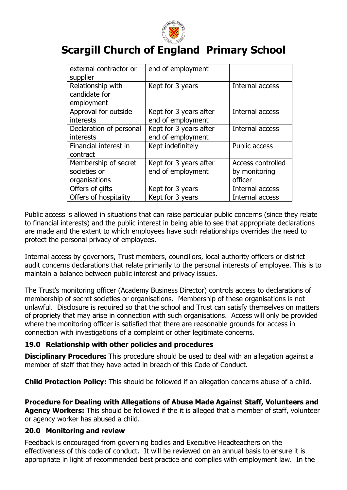

| external contractor or<br>supplier                    | end of employment                           |                                                      |
|-------------------------------------------------------|---------------------------------------------|------------------------------------------------------|
| Relationship with<br>candidate for<br>employment      | Kept for 3 years                            | Internal access                                      |
| Approval for outside<br>interests                     | Kept for 3 years after<br>end of employment | Internal access                                      |
| Declaration of personal<br>interests                  | Kept for 3 years after<br>end of employment | Internal access                                      |
| Financial interest in<br>contract                     | Kept indefinitely                           | <b>Public access</b>                                 |
| Membership of secret<br>societies or<br>organisations | Kept for 3 years after<br>end of employment | <b>Access controlled</b><br>by monitoring<br>officer |
| Offers of gifts                                       | Kept for 3 years                            | Internal access                                      |
| Offers of hospitality                                 | Kept for 3 years                            | Internal access                                      |

Public access is allowed in situations that can raise particular public concerns (since they relate to financial interests) and the public interest in being able to see that appropriate declarations are made and the extent to which employees have such relationships overrides the need to protect the personal privacy of employees.

Internal access by governors, Trust members, councillors, local authority officers or district audit concerns declarations that relate primarily to the personal interests of employee. This is to maintain a balance between public interest and privacy issues.

The Trust's monitoring officer (Academy Business Director) controls access to declarations of membership of secret societies or organisations. Membership of these organisations is not unlawful. Disclosure is required so that the school and Trust can satisfy themselves on matters of propriety that may arise in connection with such organisations. Access will only be provided where the monitoring officer is satisfied that there are reasonable grounds for access in connection with investigations of a complaint or other legitimate concerns.

# **19.0 Relationship with other policies and procedures**

**Disciplinary Procedure:** This procedure should be used to deal with an allegation against a member of staff that they have acted in breach of this Code of Conduct.

**Child Protection Policy:** This should be followed if an allegation concerns abuse of a child.

**Procedure for Dealing with Allegations of Abuse Made Against Staff, Volunteers and Agency Workers:** This should be followed if the it is alleged that a member of staff, volunteer or agency worker has abused a child.

# **20.0 Monitoring and review**

Feedback is encouraged from governing bodies and Executive Headteachers on the effectiveness of this code of conduct. It will be reviewed on an annual basis to ensure it is appropriate in light of recommended best practice and complies with employment law. In the